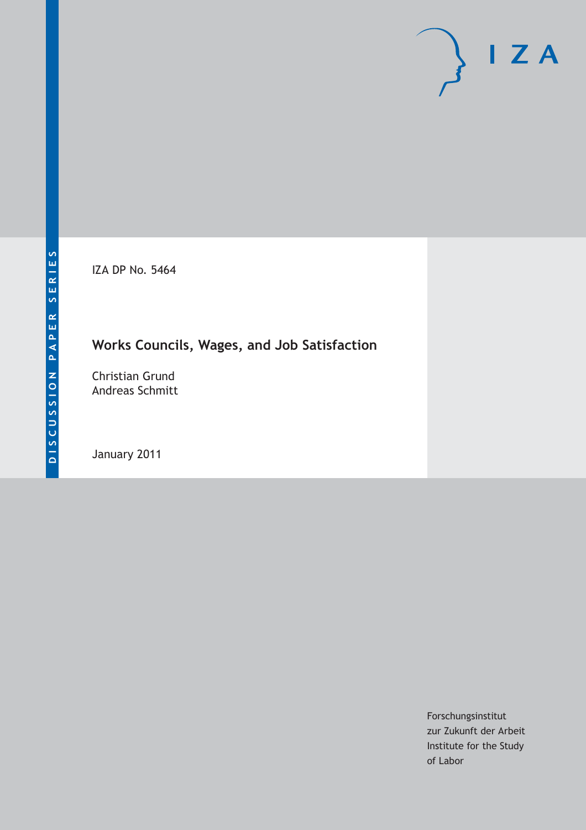IZA DP No. 5464

## **Works Councils, Wages, and Job Satisfaction**

Christian Grund Andreas Schmitt

January 2011

Forschungsinstitut zur Zukunft der Arbeit Institute for the Study of Labor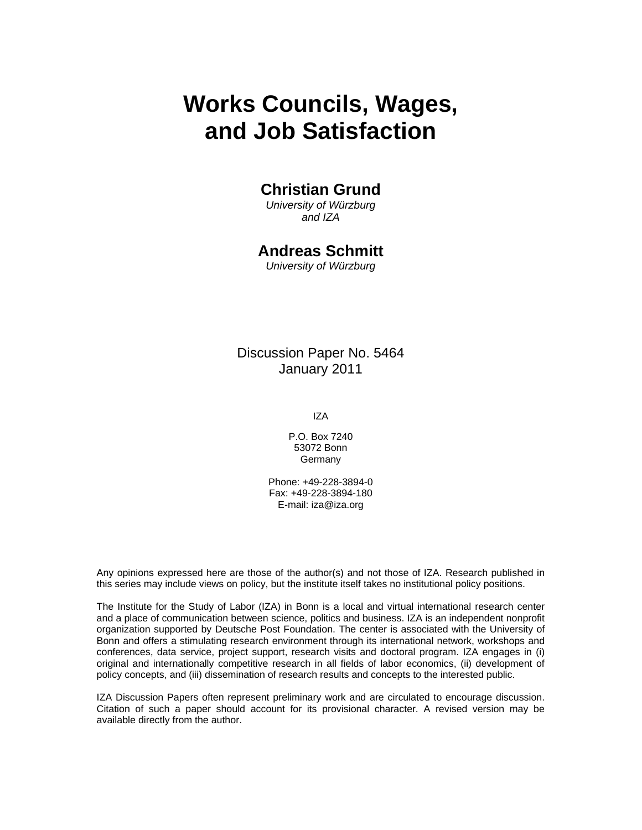# **Works Councils, Wages, and Job Satisfaction**

## **Christian Grund**

*University of Würzburg and IZA* 

### **Andreas Schmitt**

*University of Würzburg* 

### Discussion Paper No. 5464 January 2011

IZA

P.O. Box 7240 53072 Bonn Germany

Phone: +49-228-3894-0 Fax: +49-228-3894-180 E-mail: iza@iza.org

Any opinions expressed here are those of the author(s) and not those of IZA. Research published in this series may include views on policy, but the institute itself takes no institutional policy positions.

The Institute for the Study of Labor (IZA) in Bonn is a local and virtual international research center and a place of communication between science, politics and business. IZA is an independent nonprofit organization supported by Deutsche Post Foundation. The center is associated with the University of Bonn and offers a stimulating research environment through its international network, workshops and conferences, data service, project support, research visits and doctoral program. IZA engages in (i) original and internationally competitive research in all fields of labor economics, (ii) development of policy concepts, and (iii) dissemination of research results and concepts to the interested public.

IZA Discussion Papers often represent preliminary work and are circulated to encourage discussion. Citation of such a paper should account for its provisional character. A revised version may be available directly from the author.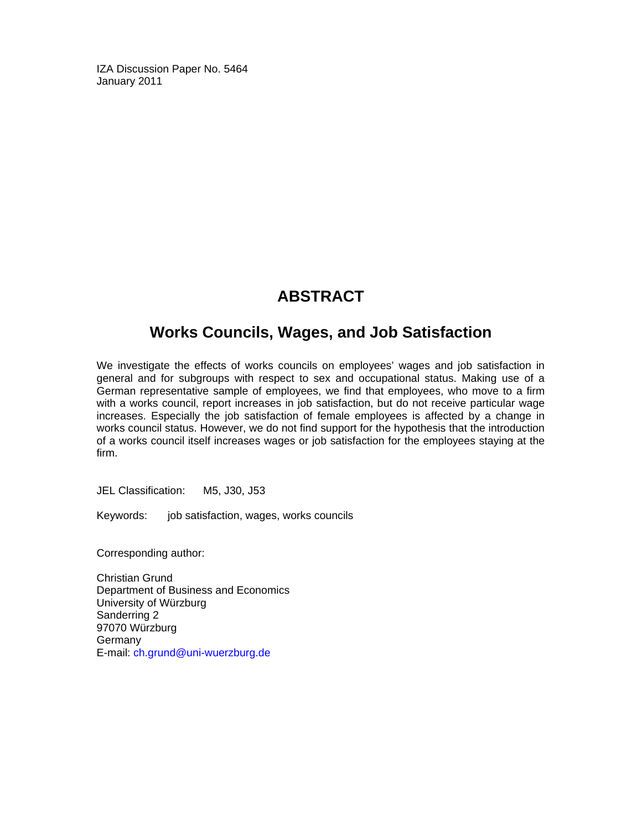IZA Discussion Paper No. 5464 January 2011

## **ABSTRACT**

## **Works Councils, Wages, and Job Satisfaction**

We investigate the effects of works councils on employees' wages and job satisfaction in general and for subgroups with respect to sex and occupational status. Making use of a German representative sample of employees, we find that employees, who move to a firm with a works council, report increases in job satisfaction, but do not receive particular wage increases. Especially the job satisfaction of female employees is affected by a change in works council status. However, we do not find support for the hypothesis that the introduction of a works council itself increases wages or job satisfaction for the employees staying at the firm.

JEL Classification: M5, J30, J53

Keywords: job satisfaction, wages, works councils

Corresponding author:

Christian Grund Department of Business and Economics University of Würzburg Sanderring 2 97070 Würzburg **Germany** E-mail: ch.grund@uni-wuerzburg.de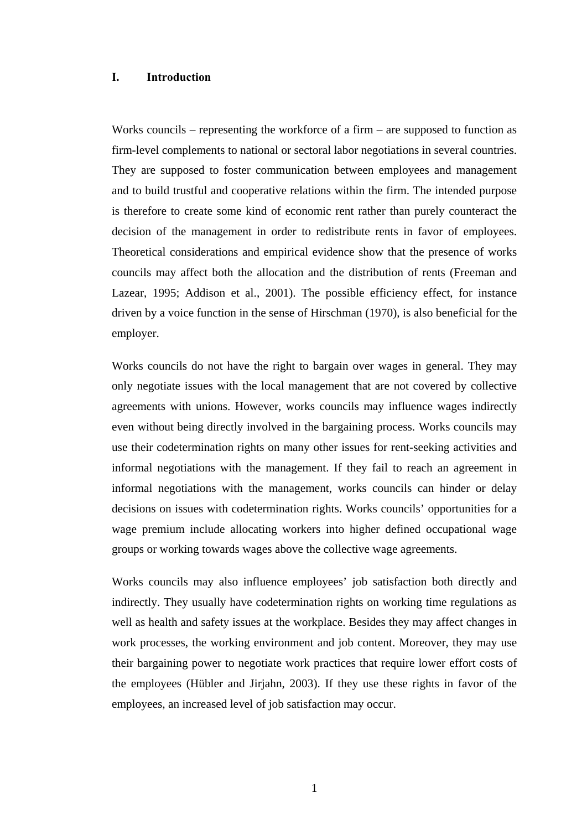#### **I. Introduction**

Works councils – representing the workforce of a firm – are supposed to function as firm-level complements to national or sectoral labor negotiations in several countries. They are supposed to foster communication between employees and management and to build trustful and cooperative relations within the firm. The intended purpose is therefore to create some kind of economic rent rather than purely counteract the decision of the management in order to redistribute rents in favor of employees. Theoretical considerations and empirical evidence show that the presence of works councils may affect both the allocation and the distribution of rents (Freeman and Lazear, 1995; Addison et al., 2001). The possible efficiency effect, for instance driven by a voice function in the sense of Hirschman (1970), is also beneficial for the employer.

Works councils do not have the right to bargain over wages in general. They may only negotiate issues with the local management that are not covered by collective agreements with unions. However, works councils may influence wages indirectly even without being directly involved in the bargaining process. Works councils may use their codetermination rights on many other issues for rent-seeking activities and informal negotiations with the management. If they fail to reach an agreement in informal negotiations with the management, works councils can hinder or delay decisions on issues with codetermination rights. Works councils' opportunities for a wage premium include allocating workers into higher defined occupational wage groups or working towards wages above the collective wage agreements.

Works councils may also influence employees' job satisfaction both directly and indirectly. They usually have codetermination rights on working time regulations as well as health and safety issues at the workplace. Besides they may affect changes in work processes, the working environment and job content. Moreover, they may use their bargaining power to negotiate work practices that require lower effort costs of the employees (Hübler and Jirjahn, 2003). If they use these rights in favor of the employees, an increased level of job satisfaction may occur.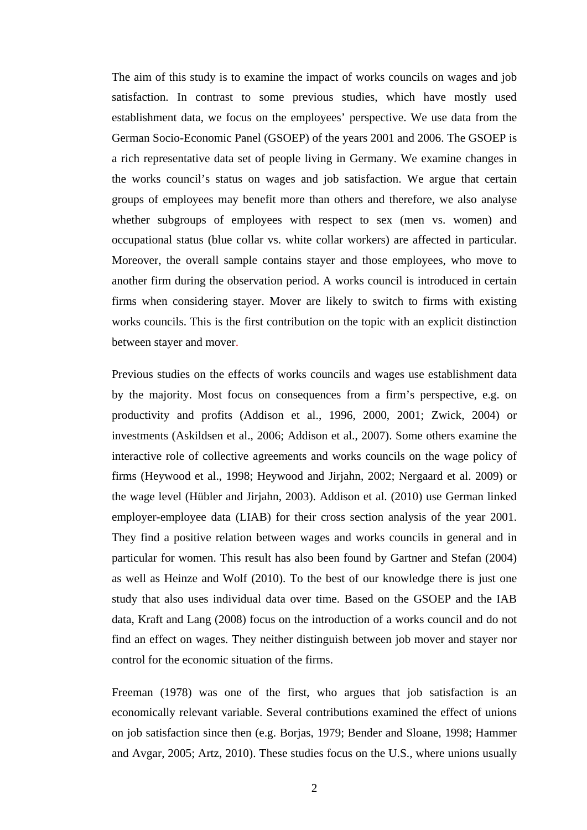The aim of this study is to examine the impact of works councils on wages and job satisfaction. In contrast to some previous studies, which have mostly used establishment data, we focus on the employees' perspective. We use data from the German Socio-Economic Panel (GSOEP) of the years 2001 and 2006. The GSOEP is a rich representative data set of people living in Germany. We examine changes in the works council's status on wages and job satisfaction. We argue that certain groups of employees may benefit more than others and therefore, we also analyse whether subgroups of employees with respect to sex (men vs. women) and occupational status (blue collar vs. white collar workers) are affected in particular. Moreover, the overall sample contains stayer and those employees, who move to another firm during the observation period. A works council is introduced in certain firms when considering stayer. Mover are likely to switch to firms with existing works councils. This is the first contribution on the topic with an explicit distinction between stayer and mover.

Previous studies on the effects of works councils and wages use establishment data by the majority. Most focus on consequences from a firm's perspective, e.g. on productivity and profits (Addison et al., 1996, 2000, 2001; Zwick, 2004) or investments (Askildsen et al., 2006; Addison et al., 2007). Some others examine the interactive role of collective agreements and works councils on the wage policy of firms (Heywood et al., 1998; Heywood and Jirjahn, 2002; Nergaard et al. 2009) or the wage level (Hübler and Jirjahn, 2003). Addison et al. (2010) use German linked employer-employee data (LIAB) for their cross section analysis of the year 2001. They find a positive relation between wages and works councils in general and in particular for women. This result has also been found by Gartner and Stefan (2004) as well as Heinze and Wolf (2010). To the best of our knowledge there is just one study that also uses individual data over time. Based on the GSOEP and the IAB data, Kraft and Lang (2008) focus on the introduction of a works council and do not find an effect on wages. They neither distinguish between job mover and stayer nor control for the economic situation of the firms.

Freeman (1978) was one of the first, who argues that job satisfaction is an economically relevant variable. Several contributions examined the effect of unions on job satisfaction since then (e.g. Borjas, 1979; Bender and Sloane, 1998; Hammer and Avgar, 2005; Artz, 2010). These studies focus on the U.S., where unions usually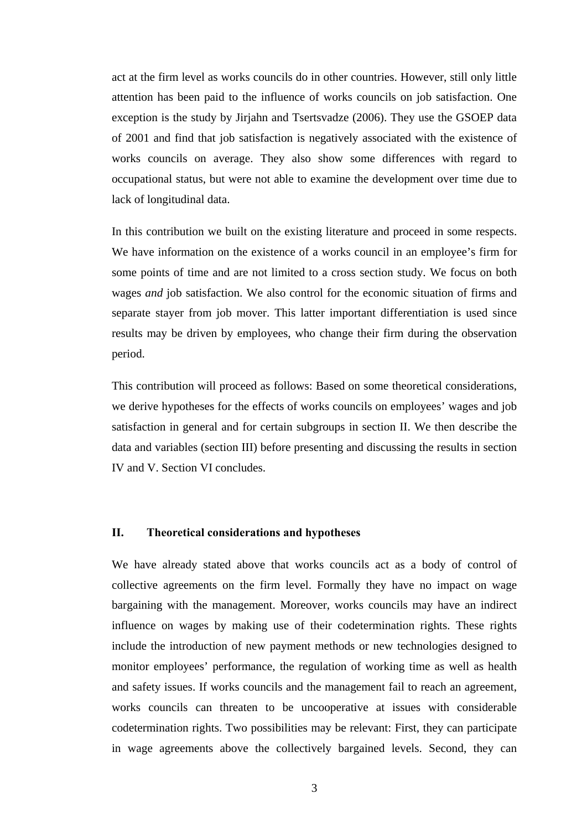act at the firm level as works councils do in other countries. However, still only little attention has been paid to the influence of works councils on job satisfaction. One exception is the study by Jirjahn and Tsertsvadze (2006). They use the GSOEP data of 2001 and find that job satisfaction is negatively associated with the existence of works councils on average. They also show some differences with regard to occupational status, but were not able to examine the development over time due to lack of longitudinal data.

In this contribution we built on the existing literature and proceed in some respects. We have information on the existence of a works council in an employee's firm for some points of time and are not limited to a cross section study. We focus on both wages *and* job satisfaction. We also control for the economic situation of firms and separate stayer from job mover. This latter important differentiation is used since results may be driven by employees, who change their firm during the observation period.

This contribution will proceed as follows: Based on some theoretical considerations, we derive hypotheses for the effects of works councils on employees' wages and job satisfaction in general and for certain subgroups in section II. We then describe the data and variables (section III) before presenting and discussing the results in section IV and V. Section VI concludes.

#### **II. Theoretical considerations and hypotheses**

We have already stated above that works councils act as a body of control of collective agreements on the firm level. Formally they have no impact on wage bargaining with the management. Moreover, works councils may have an indirect influence on wages by making use of their codetermination rights. These rights include the introduction of new payment methods or new technologies designed to monitor employees' performance, the regulation of working time as well as health and safety issues. If works councils and the management fail to reach an agreement, works councils can threaten to be uncooperative at issues with considerable codetermination rights. Two possibilities may be relevant: First, they can participate in wage agreements above the collectively bargained levels. Second, they can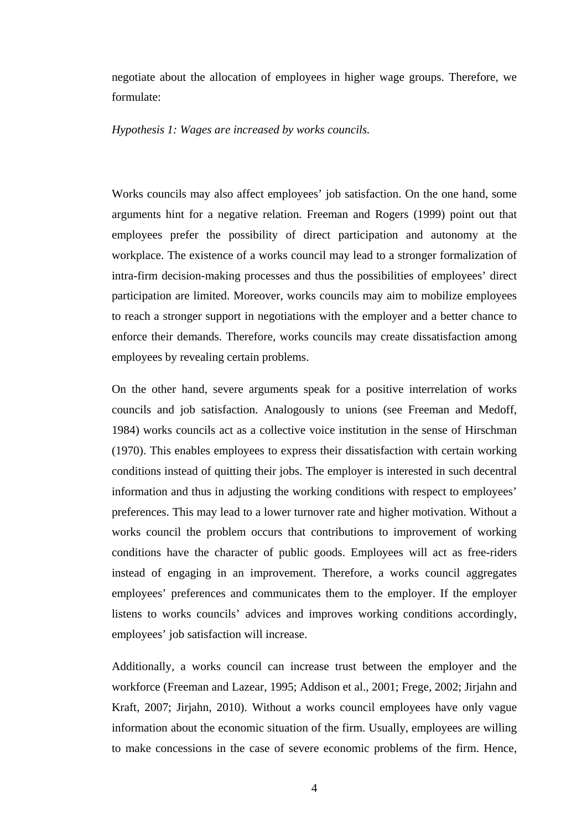negotiate about the allocation of employees in higher wage groups. Therefore, we formulate:

*Hypothesis 1: Wages are increased by works councils.*

Works councils may also affect employees' job satisfaction. On the one hand, some arguments hint for a negative relation. Freeman and Rogers (1999) point out that employees prefer the possibility of direct participation and autonomy at the workplace. The existence of a works council may lead to a stronger formalization of intra-firm decision-making processes and thus the possibilities of employees' direct participation are limited. Moreover, works councils may aim to mobilize employees to reach a stronger support in negotiations with the employer and a better chance to enforce their demands. Therefore, works councils may create dissatisfaction among employees by revealing certain problems.

On the other hand, severe arguments speak for a positive interrelation of works councils and job satisfaction. Analogously to unions (see Freeman and Medoff, 1984) works councils act as a collective voice institution in the sense of Hirschman (1970). This enables employees to express their dissatisfaction with certain working conditions instead of quitting their jobs. The employer is interested in such decentral information and thus in adjusting the working conditions with respect to employees' preferences. This may lead to a lower turnover rate and higher motivation. Without a works council the problem occurs that contributions to improvement of working conditions have the character of public goods. Employees will act as free-riders instead of engaging in an improvement. Therefore, a works council aggregates employees' preferences and communicates them to the employer. If the employer listens to works councils' advices and improves working conditions accordingly, employees' job satisfaction will increase.

Additionally, a works council can increase trust between the employer and the workforce (Freeman and Lazear, 1995; Addison et al., 2001; Frege, 2002; Jirjahn and Kraft, 2007; Jirjahn, 2010). Without a works council employees have only vague information about the economic situation of the firm. Usually, employees are willing to make concessions in the case of severe economic problems of the firm. Hence,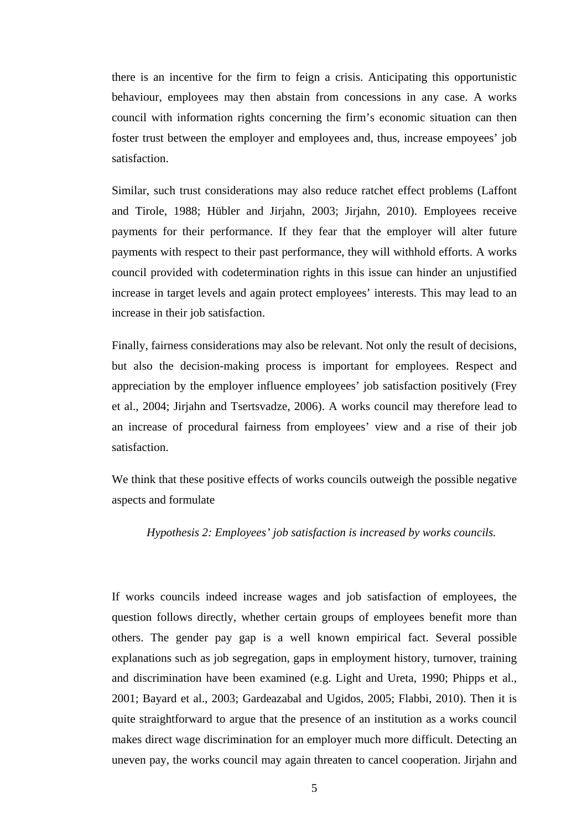there is an incentive for the firm to feign a crisis. Anticipating this opportunistic behaviour, employees may then abstain from concessions in any case. A works council with information rights concerning the firm's economic situation can then foster trust between the employer and employees and, thus, increase empoyees' job satisfaction.

Similar, such trust considerations may also reduce ratchet effect problems (Laffont and Tirole, 1988; Hübler and Jirjahn, 2003; Jirjahn, 2010). Employees receive payments for their performance. If they fear that the employer will alter future payments with respect to their past performance, they will withhold efforts. A works council provided with codetermination rights in this issue can hinder an unjustified increase in target levels and again protect employees' interests. This may lead to an increase in their job satisfaction.

Finally, fairness considerations may also be relevant. Not only the result of decisions, but also the decision-making process is important for employees. Respect and appreciation by the employer influence employees' job satisfaction positively (Frey et al., 2004; Jirjahn and Tsertsvadze, 2006). A works council may therefore lead to an increase of procedural fairness from employees' view and a rise of their job satisfaction.

We think that these positive effects of works councils outweigh the possible negative aspects and formulate

*Hypothesis 2: Employees' job satisfaction is increased by works councils.* 

If works councils indeed increase wages and job satisfaction of employees, the question follows directly, whether certain groups of employees benefit more than others. The gender pay gap is a well known empirical fact. Several possible explanations such as job segregation, gaps in employment history, turnover, training and discrimination have been examined (e.g. Light and Ureta, 1990; Phipps et al., 2001; Bayard et al., 2003; Gardeazabal and Ugidos, 2005; Flabbi, 2010). Then it is quite straightforward to argue that the presence of an institution as a works council makes direct wage discrimination for an employer much more difficult. Detecting an uneven pay, the works council may again threaten to cancel cooperation. Jirjahn and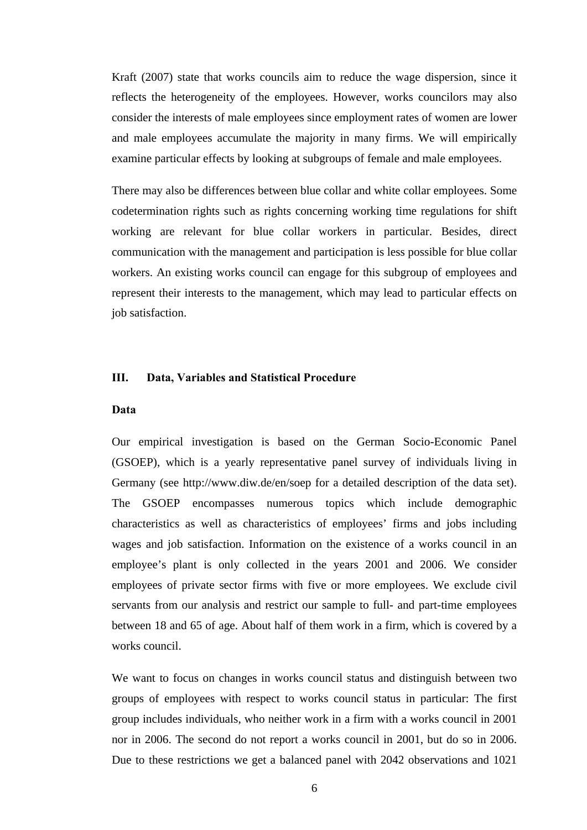Kraft (2007) state that works councils aim to reduce the wage dispersion, since it reflects the heterogeneity of the employees. However, works councilors may also consider the interests of male employees since employment rates of women are lower and male employees accumulate the majority in many firms. We will empirically examine particular effects by looking at subgroups of female and male employees.

There may also be differences between blue collar and white collar employees. Some codetermination rights such as rights concerning working time regulations for shift working are relevant for blue collar workers in particular. Besides, direct communication with the management and participation is less possible for blue collar workers. An existing works council can engage for this subgroup of employees and represent their interests to the management, which may lead to particular effects on job satisfaction.

#### **III. Data, Variables and Statistical Procedure**

#### **Data**

Our empirical investigation is based on the German Socio-Economic Panel (GSOEP), which is a yearly representative panel survey of individuals living in Germany (see http://www.diw.de/en/soep for a detailed description of the data set). The GSOEP encompasses numerous topics which include demographic characteristics as well as characteristics of employees' firms and jobs including wages and job satisfaction. Information on the existence of a works council in an employee's plant is only collected in the years 2001 and 2006. We consider employees of private sector firms with five or more employees. We exclude civil servants from our analysis and restrict our sample to full- and part-time employees between 18 and 65 of age. About half of them work in a firm, which is covered by a works council.

We want to focus on changes in works council status and distinguish between two groups of employees with respect to works council status in particular: The first group includes individuals, who neither work in a firm with a works council in 2001 nor in 2006. The second do not report a works council in 2001, but do so in 2006. Due to these restrictions we get a balanced panel with 2042 observations and 1021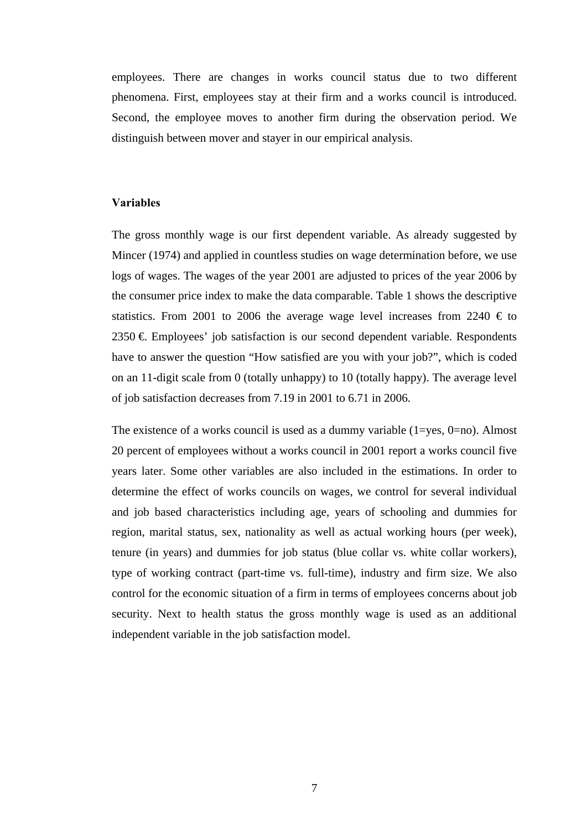employees. There are changes in works council status due to two different phenomena. First, employees stay at their firm and a works council is introduced. Second, the employee moves to another firm during the observation period. We distinguish between mover and stayer in our empirical analysis.

#### **Variables**

The gross monthly wage is our first dependent variable. As already suggested by Mincer (1974) and applied in countless studies on wage determination before, we use logs of wages. The wages of the year 2001 are adjusted to prices of the year 2006 by the consumer price index to make the data comparable. Table 1 shows the descriptive statistics. From 2001 to 2006 the average wage level increases from 2240  $\epsilon$  to 2350 €. Employees' job satisfaction is our second dependent variable. Respondents have to answer the question "How satisfied are you with your job?", which is coded on an 11-digit scale from 0 (totally unhappy) to 10 (totally happy). The average level of job satisfaction decreases from 7.19 in 2001 to 6.71 in 2006.

The existence of a works council is used as a dummy variable  $(1 = yes, 0 = no)$ . Almost 20 percent of employees without a works council in 2001 report a works council five years later. Some other variables are also included in the estimations. In order to determine the effect of works councils on wages, we control for several individual and job based characteristics including age, years of schooling and dummies for region, marital status, sex, nationality as well as actual working hours (per week), tenure (in years) and dummies for job status (blue collar vs. white collar workers), type of working contract (part-time vs. full-time), industry and firm size. We also control for the economic situation of a firm in terms of employees concerns about job security. Next to health status the gross monthly wage is used as an additional independent variable in the job satisfaction model.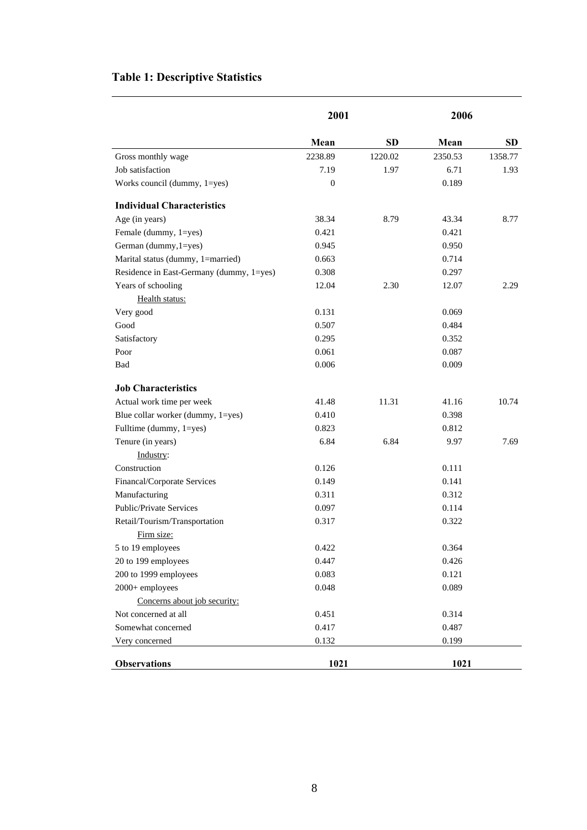## **Table 1: Descriptive Statistics**

|                                          | 2001         |           | 2006    |           |  |
|------------------------------------------|--------------|-----------|---------|-----------|--|
|                                          | Mean         | <b>SD</b> | Mean    | <b>SD</b> |  |
| Gross monthly wage                       | 2238.89      | 1220.02   | 2350.53 | 1358.77   |  |
| Job satisfaction                         | 7.19         | 1.97      | 6.71    | 1.93      |  |
| Works council (dummy, 1=yes)             | $\mathbf{0}$ |           | 0.189   |           |  |
| <b>Individual Characteristics</b>        |              |           |         |           |  |
| Age (in years)                           | 38.34        | 8.79      | 43.34   | 8.77      |  |
| Female (dummy, 1=yes)                    | 0.421        |           | 0.421   |           |  |
| German (dummy, 1=yes)                    | 0.945        |           | 0.950   |           |  |
| Marital status (dummy, 1=married)        | 0.663        |           | 0.714   |           |  |
| Residence in East-Germany (dummy, 1=yes) | 0.308        |           | 0.297   |           |  |
| Years of schooling                       | 12.04        | 2.30      | 12.07   | 2.29      |  |
| Health status:                           |              |           |         |           |  |
| Very good                                | 0.131        |           | 0.069   |           |  |
| Good                                     | 0.507        |           | 0.484   |           |  |
| Satisfactory                             | 0.295        |           | 0.352   |           |  |
| Poor                                     | 0.061        |           | 0.087   |           |  |
| Bad                                      | 0.006        |           | 0.009   |           |  |
| <b>Job Characteristics</b>               |              |           |         |           |  |
| Actual work time per week                | 41.48        | 11.31     | 41.16   | 10.74     |  |
| Blue collar worker (dummy, 1=yes)        | 0.410        |           | 0.398   |           |  |
| Fulltime (dummy, 1=yes)                  | 0.823        |           | 0.812   |           |  |
| Tenure (in years)                        | 6.84         | 6.84      | 9.97    | 7.69      |  |
| Industry:                                |              |           |         |           |  |
| Construction                             | 0.126        |           | 0.111   |           |  |
| Financal/Corporate Services              | 0.149        |           | 0.141   |           |  |
| Manufacturing                            | 0.311        |           | 0.312   |           |  |
| Public/Private Services                  | 0.097        |           | 0.114   |           |  |
| Retail/Tourism/Transportation            | 0.317        |           | 0.322   |           |  |
| Firm size:                               |              |           |         |           |  |
| 5 to 19 employees                        | 0.422        |           | 0.364   |           |  |
| 20 to 199 employees                      | 0.447        |           | 0.426   |           |  |
| 200 to 1999 employees                    | 0.083        |           | 0.121   |           |  |
| 2000+ employees                          | 0.048        |           | 0.089   |           |  |
| Concerns about job security:             |              |           |         |           |  |
| Not concerned at all                     | 0.451        |           | 0.314   |           |  |
| Somewhat concerned                       | 0.417        |           | 0.487   |           |  |
| Very concerned                           | 0.132        |           | 0.199   |           |  |
| <b>Observations</b>                      | 1021         |           | 1021    |           |  |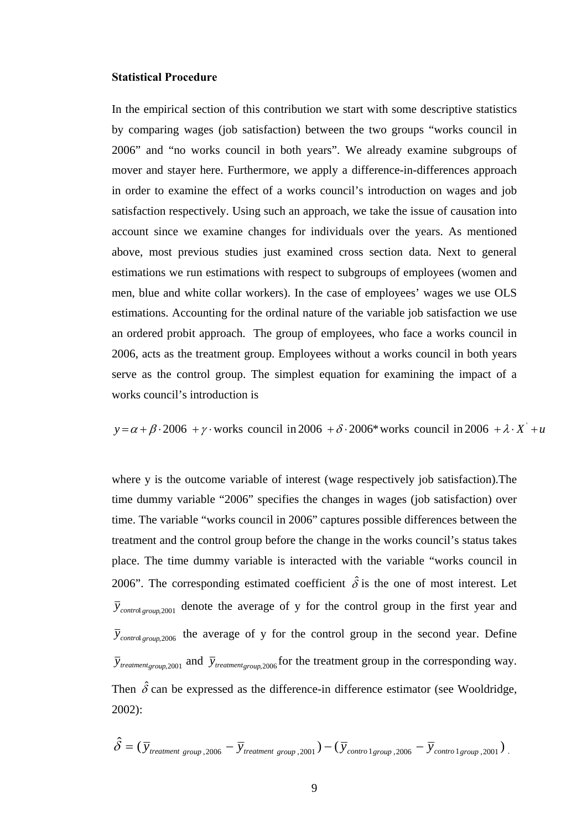#### **Statistical Procedure**

In the empirical section of this contribution we start with some descriptive statistics by comparing wages (job satisfaction) between the two groups "works council in 2006" and "no works council in both years". We already examine subgroups of mover and stayer here. Furthermore, we apply a difference-in-differences approach in order to examine the effect of a works council's introduction on wages and job satisfaction respectively. Using such an approach, we take the issue of causation into account since we examine changes for individuals over the years. As mentioned above, most previous studies just examined cross section data. Next to general estimations we run estimations with respect to subgroups of employees (women and men, blue and white collar workers). In the case of employees' wages we use OLS estimations. Accounting for the ordinal nature of the variable job satisfaction we use an ordered probit approach. The group of employees, who face a works council in 2006, acts as the treatment group. Employees without a works council in both years serve as the control group. The simplest equation for examining the impact of a works council's introduction is

 $y = \alpha + \beta \cdot 2006 + \gamma \cdot$  works council in 2006  $+\delta \cdot 2006^*$  works council in 2006  $+\lambda \cdot X' + u$ 

where y is the outcome variable of interest (wage respectively job satisfaction).The time dummy variable "2006" specifies the changes in wages (job satisfaction) over time. The variable "works council in 2006" captures possible differences between the treatment and the control group before the change in the works council's status takes place. The time dummy variable is interacted with the variable "works council in 2006". The corresponding estimated coefficient  $\hat{\delta}$  is the one of most interest. Let  $\bar{y}_{control\, group\, 2001}$  denote the average of y for the control group in the first year and  $\bar{y}_{control\, group\, 2006}$  the average of y for the control group in the second year. Define  $\bar{y}_{treatment\ or\ our\ 2001}$  and  $\bar{y}_{treatment\ or\ our\ 2006}$  for the treatment group in the corresponding way. Then  $\hat{\delta}$  can be expressed as the difference-in difference estimator (see Wooldridge, 2002):

$$
\hat{\delta} = (\bar{y}_{treatment\ group,2006} - \bar{y}_{treatment\ group,2001}) - (\bar{y}_{control\ group,2006} - \bar{y}_{control\ group,2001})
$$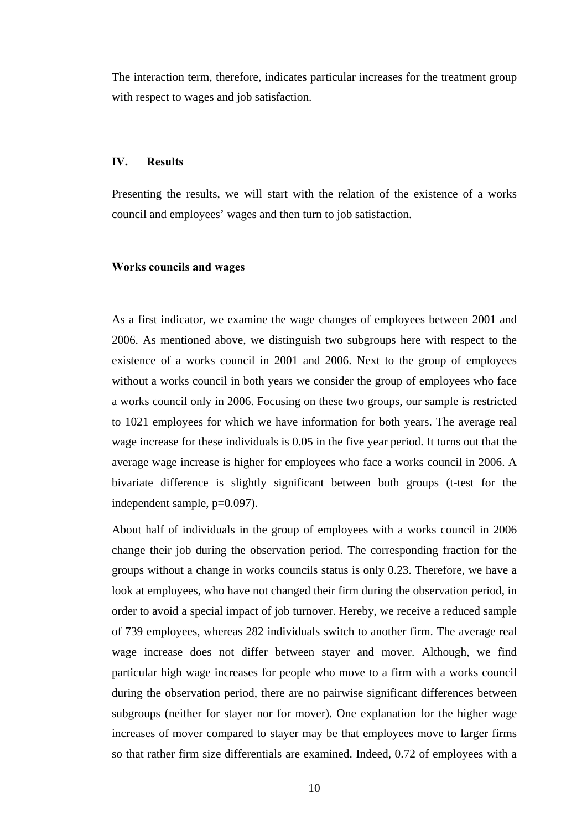The interaction term, therefore, indicates particular increases for the treatment group with respect to wages and job satisfaction.

#### **IV. Results**

Presenting the results, we will start with the relation of the existence of a works council and employees' wages and then turn to job satisfaction.

#### **Works councils and wages**

As a first indicator, we examine the wage changes of employees between 2001 and 2006. As mentioned above, we distinguish two subgroups here with respect to the existence of a works council in 2001 and 2006. Next to the group of employees without a works council in both years we consider the group of employees who face a works council only in 2006. Focusing on these two groups, our sample is restricted to 1021 employees for which we have information for both years. The average real wage increase for these individuals is 0.05 in the five year period. It turns out that the average wage increase is higher for employees who face a works council in 2006. A bivariate difference is slightly significant between both groups (t-test for the independent sample, p=0.097).

About half of individuals in the group of employees with a works council in 2006 change their job during the observation period. The corresponding fraction for the groups without a change in works councils status is only 0.23. Therefore, we have a look at employees, who have not changed their firm during the observation period, in order to avoid a special impact of job turnover. Hereby, we receive a reduced sample of 739 employees, whereas 282 individuals switch to another firm. The average real wage increase does not differ between stayer and mover. Although, we find particular high wage increases for people who move to a firm with a works council during the observation period, there are no pairwise significant differences between subgroups (neither for stayer nor for mover). One explanation for the higher wage increases of mover compared to stayer may be that employees move to larger firms so that rather firm size differentials are examined. Indeed, 0.72 of employees with a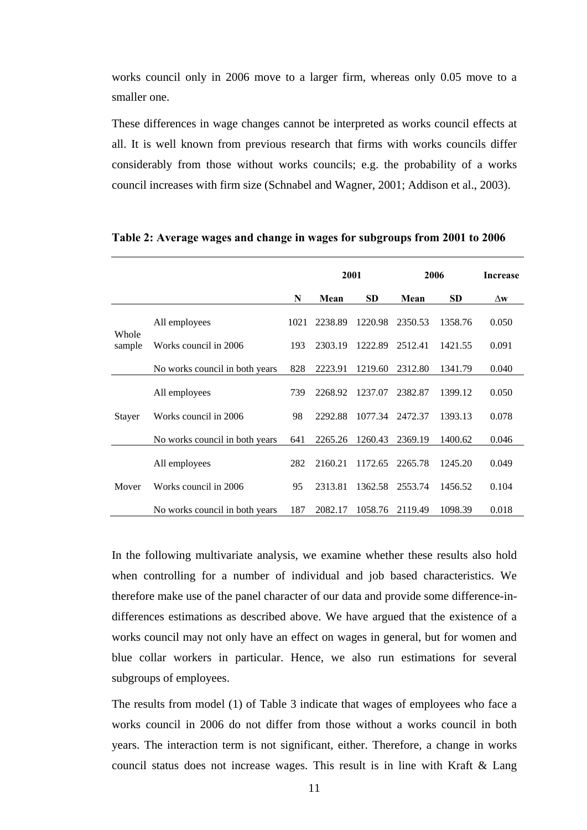works council only in 2006 move to a larger firm, whereas only 0.05 move to a smaller one.

These differences in wage changes cannot be interpreted as works council effects at all. It is well known from previous research that firms with works councils differ considerably from those without works councils; e.g. the probability of a works council increases with firm size (Schnabel and Wagner, 2001; Addison et al., 2003).

|                 |                                |      | 2001    |           | 2006    |           | Increase   |
|-----------------|--------------------------------|------|---------|-----------|---------|-----------|------------|
|                 |                                | N    | Mean    | <b>SD</b> | Mean    | <b>SD</b> | $\Delta$ w |
| Whole<br>sample | All employees                  | 1021 | 2238.89 | 1220.98   | 2350.53 | 1358.76   | 0.050      |
|                 | Works council in 2006          | 193  | 2303.19 | 1222.89   | 2512.41 | 1421.55   | 0.091      |
|                 | No works council in both years | 828  | 2223.91 | 1219.60   | 2312.80 | 1341.79   | 0.040      |
| <b>Stayer</b>   | All employees                  | 739  | 2268.92 | 1237.07   | 2382.87 | 1399.12   | 0.050      |
|                 | Works council in 2006          | 98   | 2292.88 | 1077.34   | 2472.37 | 1393.13   | 0.078      |
|                 | No works council in both years | 641  | 2265.26 | 1260.43   | 2369.19 | 1400.62   | 0.046      |
|                 | All employees                  | 282  | 2160.21 | 1172.65   | 2265.78 | 1245.20   | 0.049      |
| Mover           | Works council in 2006          | 95   | 2313.81 | 1362.58   | 2553.74 | 1456.52   | 0.104      |
|                 | No works council in both years | 187  | 2082.17 | 1058.76   | 2119.49 | 1098.39   | 0.018      |

#### **Table 2: Average wages and change in wages for subgroups from 2001 to 2006**

In the following multivariate analysis, we examine whether these results also hold when controlling for a number of individual and job based characteristics. We therefore make use of the panel character of our data and provide some difference-indifferences estimations as described above. We have argued that the existence of a works council may not only have an effect on wages in general, but for women and blue collar workers in particular. Hence, we also run estimations for several subgroups of employees.

The results from model (1) of Table 3 indicate that wages of employees who face a works council in 2006 do not differ from those without a works council in both years. The interaction term is not significant, either. Therefore, a change in works council status does not increase wages. This result is in line with Kraft & Lang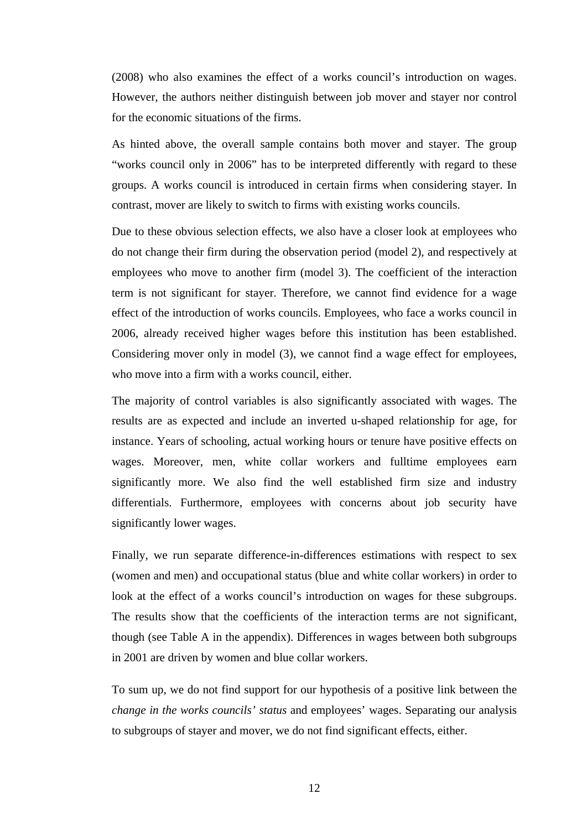(2008) who also examines the effect of a works council's introduction on wages. However, the authors neither distinguish between job mover and stayer nor control for the economic situations of the firms.

As hinted above, the overall sample contains both mover and stayer. The group "works council only in 2006" has to be interpreted differently with regard to these groups. A works council is introduced in certain firms when considering stayer. In contrast, mover are likely to switch to firms with existing works councils.

Due to these obvious selection effects, we also have a closer look at employees who do not change their firm during the observation period (model 2), and respectively at employees who move to another firm (model 3). The coefficient of the interaction term is not significant for stayer. Therefore, we cannot find evidence for a wage effect of the introduction of works councils. Employees, who face a works council in 2006, already received higher wages before this institution has been established. Considering mover only in model (3), we cannot find a wage effect for employees, who move into a firm with a works council, either.

The majority of control variables is also significantly associated with wages. The results are as expected and include an inverted u-shaped relationship for age, for instance. Years of schooling, actual working hours or tenure have positive effects on wages. Moreover, men, white collar workers and fulltime employees earn significantly more. We also find the well established firm size and industry differentials. Furthermore, employees with concerns about job security have significantly lower wages.

Finally, we run separate difference-in-differences estimations with respect to sex (women and men) and occupational status (blue and white collar workers) in order to look at the effect of a works council's introduction on wages for these subgroups. The results show that the coefficients of the interaction terms are not significant, though (see Table A in the appendix). Differences in wages between both subgroups in 2001 are driven by women and blue collar workers.

To sum up, we do not find support for our hypothesis of a positive link between the *change in the works councils' status* and employees' wages. Separating our analysis to subgroups of stayer and mover, we do not find significant effects, either.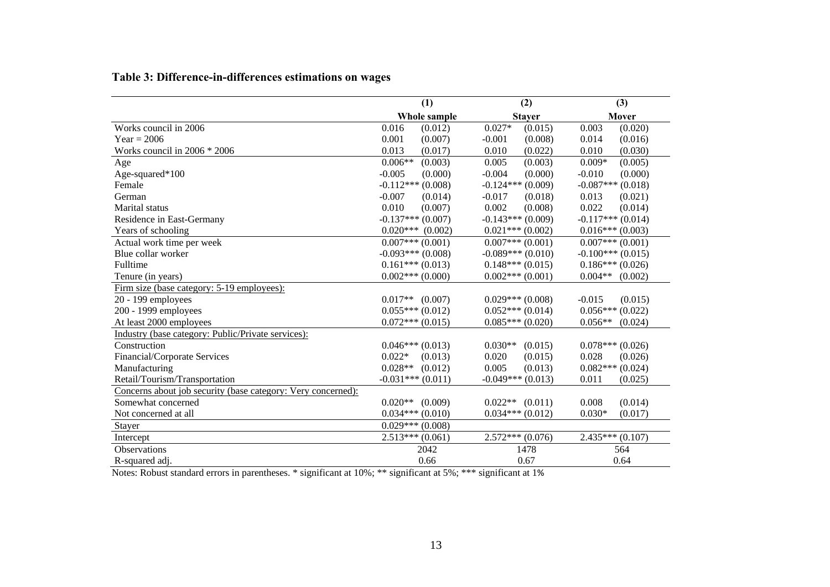|  | Table 3: Difference-in-differences estimations on wages |  |
|--|---------------------------------------------------------|--|
|  |                                                         |  |

|                                                              | (1)                   | (2)                   | (3)                  |
|--------------------------------------------------------------|-----------------------|-----------------------|----------------------|
|                                                              | Whole sample          | <b>Stayer</b>         | Mover                |
| Works council in 2006                                        | 0.016<br>(0.012)      | $0.027*$<br>(0.015)   | 0.003<br>(0.020)     |
| $Year = 2006$                                                | 0.001<br>(0.007)      | $-0.001$<br>(0.008)   | 0.014<br>(0.016)     |
| Works council in $2006 * 2006$                               | 0.013<br>(0.017)      | 0.010<br>(0.022)      | 0.010<br>(0.030)     |
| Age                                                          | $0.006**$<br>(0.003)  | (0.003)<br>0.005      | $0.009*$<br>(0.005)  |
| Age-squared*100                                              | $-0.005$<br>(0.000)   | $-0.004$<br>(0.000)   | (0.000)<br>$-0.010$  |
| Female                                                       | $-0.112***$ (0.008)   | $-0.124***(0.009)$    | $-0.087***$ (0.018)  |
| German                                                       | $-0.007$<br>(0.014)   | $-0.017$<br>(0.018)   | 0.013<br>(0.021)     |
| Marital status                                               | 0.010<br>(0.007)      | 0.002<br>(0.008)      | 0.022<br>(0.014)     |
| Residence in East-Germany                                    | $-0.137***$ (0.007)   | $-0.143***(0.009)$    | $-0.117***$ (0.014)  |
| Years of schooling                                           | $0.020***$ (0.002)    | $0.021***(0.002)$     | $0.016***(0.003)$    |
| Actual work time per week                                    | $0.007***(0.001)$     | $0.007***(0.001)$     | $0.007***(0.001)$    |
| Blue collar worker                                           | $-0.093***(0.008)$    | $-0.089***(0.010)$    | $-0.100***(0.015)$   |
| Fulltime                                                     | $0.161***(0.013)$     | $0.148***(0.015)$     | $0.186***(0.026)$    |
| Tenure (in years)                                            | $0.002$ *** $(0.000)$ | $0.002$ *** $(0.001)$ | $0.004**$ (0.002)    |
| Firm size (base category: 5-19 employees):                   |                       |                       |                      |
| 20 - 199 employees                                           | $0.017**$ (0.007)     | $0.029***(0.008)$     | $-0.015$<br>(0.015)  |
| 200 - 1999 employees                                         | $0.055***(0.012)$     | $0.052***(0.014)$     | $0.056***(0.022)$    |
| At least 2000 employees                                      | $0.072***(0.015)$     | $0.085***(0.020)$     | $0.056**$<br>(0.024) |
| Industry (base category: Public/Private services):           |                       |                       |                      |
| Construction                                                 | $0.046***(0.013)$     | $0.030**$<br>(0.015)  | $0.078***(0.026)$    |
| Financial/Corporate Services                                 | $0.022*$<br>(0.013)   | 0.020<br>(0.015)      | 0.028<br>(0.026)     |
| Manufacturing                                                | $0.028**$<br>(0.012)  | 0.005<br>(0.013)      | $0.082***(0.024)$    |
| Retail/Tourism/Transportation                                | $-0.031***(0.011)$    | $-0.049***$ (0.013)   | 0.011<br>(0.025)     |
| Concerns about job security (base category: Very concerned): |                       |                       |                      |
| Somewhat concerned                                           | $0.020**$ (0.009)     | $0.022**$ $(0.011)$   | 0.008<br>(0.014)     |
| Not concerned at all                                         | $0.034***(0.010)$     | $0.034***(0.012)$     | $0.030*$<br>(0.017)  |
| Stayer                                                       | $0.029***(0.008)$     |                       |                      |
| Intercept                                                    | $2.513***(0.061)$     | $2.572***(0.076)$     | $2.435***(0.107)$    |
| Observations                                                 | 2042                  | 1478                  | 564                  |
| R-squared adj.                                               | 0.66                  | 0.67                  | 0.64                 |

Notes: Robust standard errors in parentheses. \* significant at 10%; \*\* significant at 5%; \*\*\* significant at 1%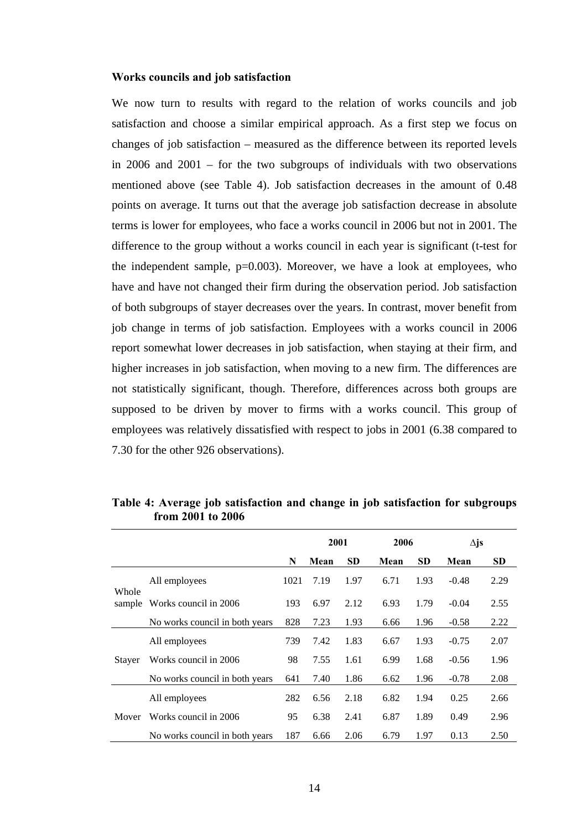#### **Works councils and job satisfaction**

We now turn to results with regard to the relation of works councils and job satisfaction and choose a similar empirical approach. As a first step we focus on changes of job satisfaction – measured as the difference between its reported levels in 2006 and 2001 – for the two subgroups of individuals with two observations mentioned above (see Table 4). Job satisfaction decreases in the amount of 0.48 points on average. It turns out that the average job satisfaction decrease in absolute terms is lower for employees, who face a works council in 2006 but not in 2001. The difference to the group without a works council in each year is significant (t-test for the independent sample,  $p=0.003$ ). Moreover, we have a look at employees, who have and have not changed their firm during the observation period. Job satisfaction of both subgroups of stayer decreases over the years. In contrast, mover benefit from job change in terms of job satisfaction. Employees with a works council in 2006 report somewhat lower decreases in job satisfaction, when staying at their firm, and higher increases in job satisfaction, when moving to a new firm. The differences are not statistically significant, though. Therefore, differences across both groups are supposed to be driven by mover to firms with a works council. This group of employees was relatively dissatisfied with respect to jobs in 2001 (6.38 compared to 7.30 for the other 926 observations).

|                 |                                |      | 2001 |           | 2006 |           | $\Delta$ js |           |
|-----------------|--------------------------------|------|------|-----------|------|-----------|-------------|-----------|
|                 |                                | N    | Mean | <b>SD</b> | Mean | <b>SD</b> | Mean        | <b>SD</b> |
| Whole<br>sample | All employees                  | 1021 | 7.19 | 1.97      | 6.71 | 1.93      | $-0.48$     | 2.29      |
|                 | Works council in 2006          | 193  | 6.97 | 2.12      | 6.93 | 1.79      | $-0.04$     | 2.55      |
|                 | No works council in both years | 828  | 7.23 | 1.93      | 6.66 | 1.96      | $-0.58$     | 2.22      |
| Staver          | All employees                  | 739  | 7.42 | 1.83      | 6.67 | 1.93      | $-0.75$     | 2.07      |
|                 | Works council in 2006          | 98   | 7.55 | 1.61      | 6.99 | 1.68      | $-0.56$     | 1.96      |
|                 | No works council in both years | 641  | 7.40 | 1.86      | 6.62 | 1.96      | $-0.78$     | 2.08      |
|                 | All employees                  | 282  | 6.56 | 2.18      | 6.82 | 1.94      | 0.25        | 2.66      |
| Mover           | Works council in 2006          | 95   | 6.38 | 2.41      | 6.87 | 1.89      | 0.49        | 2.96      |
|                 | No works council in both years | 187  | 6.66 | 2.06      | 6.79 | 1.97      | 0.13        | 2.50      |

**Table 4: Average job satisfaction and change in job satisfaction for subgroups from 2001 to 2006**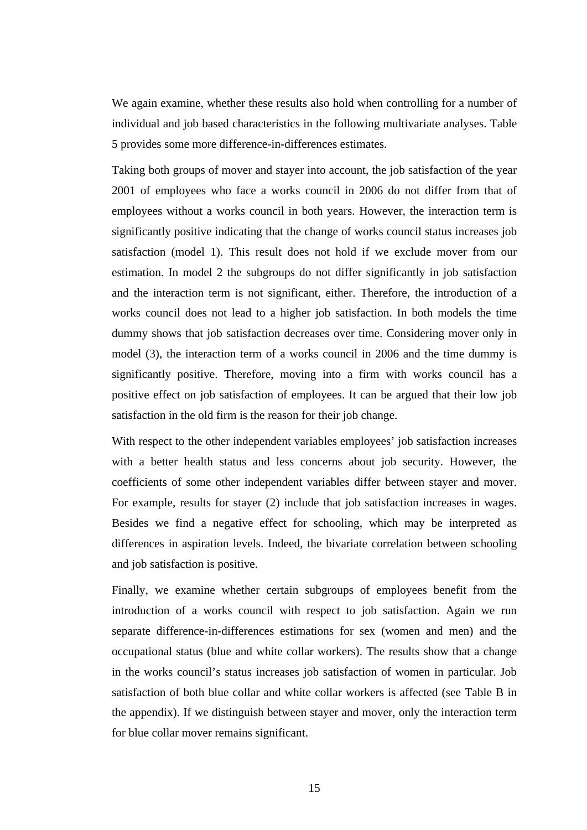We again examine, whether these results also hold when controlling for a number of individual and job based characteristics in the following multivariate analyses. Table 5 provides some more difference-in-differences estimates.

Taking both groups of mover and stayer into account, the job satisfaction of the year 2001 of employees who face a works council in 2006 do not differ from that of employees without a works council in both years. However, the interaction term is significantly positive indicating that the change of works council status increases job satisfaction (model 1). This result does not hold if we exclude mover from our estimation. In model 2 the subgroups do not differ significantly in job satisfaction and the interaction term is not significant, either. Therefore, the introduction of a works council does not lead to a higher job satisfaction. In both models the time dummy shows that job satisfaction decreases over time. Considering mover only in model (3), the interaction term of a works council in 2006 and the time dummy is significantly positive. Therefore, moving into a firm with works council has a positive effect on job satisfaction of employees. It can be argued that their low job satisfaction in the old firm is the reason for their job change.

With respect to the other independent variables employees' job satisfaction increases with a better health status and less concerns about job security. However, the coefficients of some other independent variables differ between stayer and mover. For example, results for stayer (2) include that job satisfaction increases in wages. Besides we find a negative effect for schooling, which may be interpreted as differences in aspiration levels. Indeed, the bivariate correlation between schooling and job satisfaction is positive.

Finally, we examine whether certain subgroups of employees benefit from the introduction of a works council with respect to job satisfaction. Again we run separate difference-in-differences estimations for sex (women and men) and the occupational status (blue and white collar workers). The results show that a change in the works council's status increases job satisfaction of women in particular. Job satisfaction of both blue collar and white collar workers is affected (see Table B in the appendix). If we distinguish between stayer and mover, only the interaction term for blue collar mover remains significant.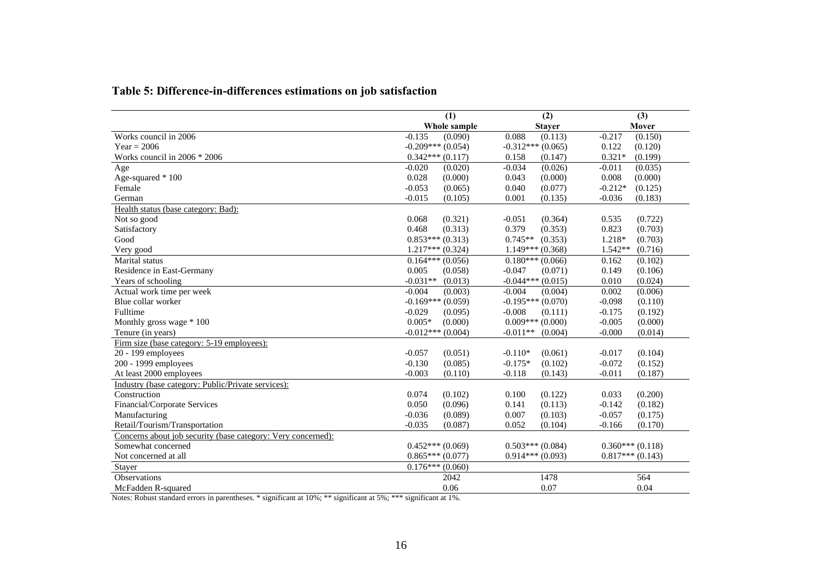| Table 5: Difference-in-differences estimations on job satisfaction |  |  |
|--------------------------------------------------------------------|--|--|
|--------------------------------------------------------------------|--|--|

|                                                              | (1)                   | (2)                  | (3)                  |
|--------------------------------------------------------------|-----------------------|----------------------|----------------------|
|                                                              | Whole sample          | <b>Stayer</b>        | Mover                |
| Works council in 2006                                        | $-0.135$<br>(0.090)   | 0.088<br>(0.113)     | $-0.217$<br>(0.150)  |
| Year = $2006$                                                | $-0.209***(0.054)$    | $-0.312***$ (0.065)  | 0.122<br>(0.120)     |
| Works council in 2006 * 2006                                 | $0.342***(0.117)$     | 0.158<br>(0.147)     | $0.321*$<br>(0.199)  |
| Age                                                          | $-0.020$<br>(0.020)   | $-0.034$<br>(0.026)  | (0.035)<br>$-0.011$  |
| Age-squared * 100                                            | 0.028<br>(0.000)      | 0.043<br>(0.000)     | 0.008<br>(0.000)     |
| Female                                                       | $-0.053$<br>(0.065)   | 0.040<br>(0.077)     | $-0.212*$<br>(0.125) |
| German                                                       | $-0.015$<br>(0.105)   | 0.001<br>(0.135)     | $-0.036$<br>(0.183)  |
| Health status (base category: Bad):                          |                       |                      |                      |
| Not so good                                                  | (0.321)<br>0.068      | (0.364)<br>$-0.051$  | (0.722)<br>0.535     |
| Satisfactory                                                 | 0.468<br>(0.313)      | 0.379<br>(0.353)     | 0.823<br>(0.703)     |
| Good                                                         | $0.853***(0.313)$     | $0.745**$<br>(0.353) | (0.703)<br>1.218*    |
| Very good                                                    | $1.217***(0.324)$     | $1.149***(0.368)$    | $1.542**$<br>(0.716) |
| Marital status                                               | $0.164***(0.056)$     | $0.180***(0.066)$    | (0.102)<br>0.162     |
| Residence in East-Germany                                    | 0.005<br>(0.058)      | $-0.047$<br>(0.071)  | 0.149<br>(0.106)     |
| Years of schooling                                           | $-0.031**$<br>(0.013) | $-0.044***(0.015)$   | 0.010<br>(0.024)     |
| Actual work time per week                                    | $-0.004$<br>(0.003)   | $-0.004$<br>(0.004)  | (0.006)<br>0.002     |
| Blue collar worker                                           | $-0.169***(0.059)$    | $-0.195***(0.070)$   | $-0.098$<br>(0.110)  |
| Fulltime                                                     | $-0.029$<br>(0.095)   | $-0.008$<br>(0.111)  | $-0.175$<br>(0.192)  |
| Monthly gross wage * 100                                     | $0.005*$<br>(0.000)   | $0.009***(0.000)$    | $-0.005$<br>(0.000)  |
| Tenure (in years)                                            | $-0.012***$ (0.004)   | $-0.011**$ (0.004)   | $-0.000$<br>(0.014)  |
| Firm size (base category: 5-19 employees):                   |                       |                      |                      |
| 20 - 199 employees                                           | $-0.057$<br>(0.051)   | $-0.110*$<br>(0.061) | $-0.017$<br>(0.104)  |
| 200 - 1999 employees                                         | $-0.130$<br>(0.085)   | $-0.175*$<br>(0.102) | $-0.072$<br>(0.152)  |
| At least 2000 employees                                      | $-0.003$<br>(0.110)   | $-0.118$<br>(0.143)  | $-0.011$<br>(0.187)  |
| Industry (base category: Public/Private services):           |                       |                      |                      |
| Construction                                                 | (0.102)<br>0.074      | 0.100<br>(0.122)     | (0.200)<br>0.033     |
| Financial/Corporate Services                                 | (0.096)<br>0.050      | 0.141<br>(0.113)     | $-0.142$<br>(0.182)  |
| Manufacturing                                                | $-0.036$<br>(0.089)   | 0.007<br>(0.103)     | $-0.057$<br>(0.175)  |
| Retail/Tourism/Transportation                                | $-0.035$<br>(0.087)   | 0.052<br>(0.104)     | $-0.166$<br>(0.170)  |
| Concerns about job security (base category: Very concerned): |                       |                      |                      |
| Somewhat concerned                                           | $0.452***(0.069)$     | $0.503***(0.084)$    | $0.360***(0.118)$    |
| Not concerned at all                                         | $0.865***(0.077)$     | $0.914***(0.093)$    | $0.817***(0.143)$    |
| Stayer                                                       | $0.176***$ (0.060)    |                      |                      |
| <b>Observations</b>                                          | 2042                  | 1478                 | 564                  |
| McFadden R-squared                                           | 0.06                  | 0.07                 | 0.04                 |

Notes: Robust standard errors in parentheses. \* significant at 10%; \*\* significant at 5%; \*\*\* significant at 1%.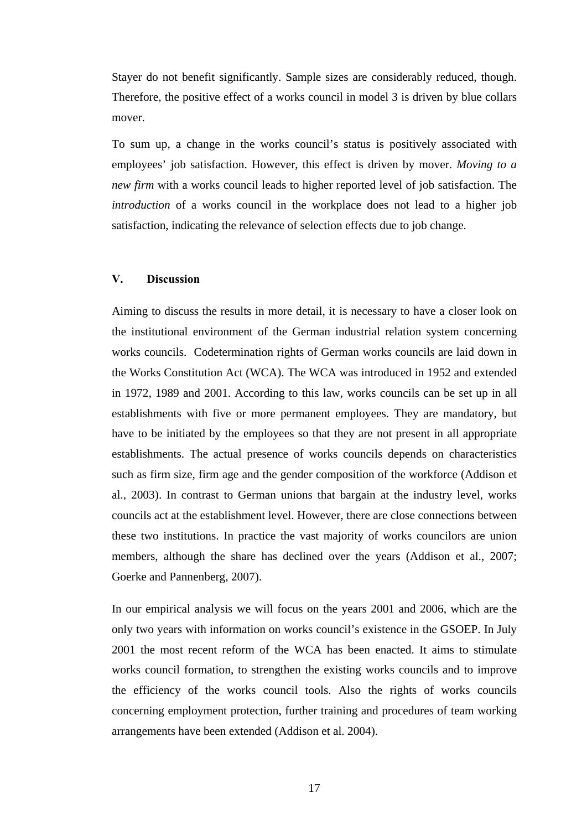Stayer do not benefit significantly. Sample sizes are considerably reduced, though. Therefore, the positive effect of a works council in model 3 is driven by blue collars mover.

To sum up, a change in the works council's status is positively associated with employees' job satisfaction. However, this effect is driven by mover. *Moving to a new firm* with a works council leads to higher reported level of job satisfaction. The *introduction* of a works council in the workplace does not lead to a higher job satisfaction, indicating the relevance of selection effects due to job change.

#### **V. Discussion**

Aiming to discuss the results in more detail, it is necessary to have a closer look on the institutional environment of the German industrial relation system concerning works councils. Codetermination rights of German works councils are laid down in the Works Constitution Act (WCA). The WCA was introduced in 1952 and extended in 1972, 1989 and 2001. According to this law, works councils can be set up in all establishments with five or more permanent employees. They are mandatory, but have to be initiated by the employees so that they are not present in all appropriate establishments. The actual presence of works councils depends on characteristics such as firm size, firm age and the gender composition of the workforce (Addison et al., 2003). In contrast to German unions that bargain at the industry level, works councils act at the establishment level. However, there are close connections between these two institutions. In practice the vast majority of works councilors are union members, although the share has declined over the years (Addison et al., 2007; Goerke and Pannenberg, 2007).

In our empirical analysis we will focus on the years 2001 and 2006, which are the only two years with information on works council's existence in the GSOEP. In July 2001 the most recent reform of the WCA has been enacted. It aims to stimulate works council formation, to strengthen the existing works councils and to improve the efficiency of the works council tools. Also the rights of works councils concerning employment protection, further training and procedures of team working arrangements have been extended (Addison et al. 2004).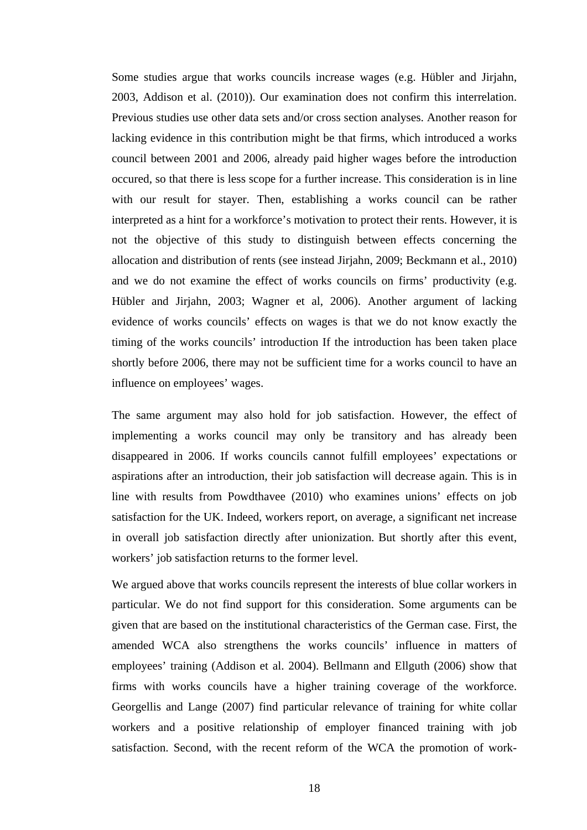Some studies argue that works councils increase wages (e.g. Hübler and Jirjahn, 2003, Addison et al. (2010)). Our examination does not confirm this interrelation. Previous studies use other data sets and/or cross section analyses. Another reason for lacking evidence in this contribution might be that firms, which introduced a works council between 2001 and 2006, already paid higher wages before the introduction occured, so that there is less scope for a further increase. This consideration is in line with our result for stayer. Then, establishing a works council can be rather interpreted as a hint for a workforce's motivation to protect their rents. However, it is not the objective of this study to distinguish between effects concerning the allocation and distribution of rents (see instead Jirjahn, 2009; Beckmann et al., 2010) and we do not examine the effect of works councils on firms' productivity (e.g. Hübler and Jirjahn, 2003; Wagner et al, 2006). Another argument of lacking evidence of works councils' effects on wages is that we do not know exactly the timing of the works councils' introduction If the introduction has been taken place shortly before 2006, there may not be sufficient time for a works council to have an influence on employees' wages.

The same argument may also hold for job satisfaction. However, the effect of implementing a works council may only be transitory and has already been disappeared in 2006. If works councils cannot fulfill employees' expectations or aspirations after an introduction, their job satisfaction will decrease again. This is in line with results from Powdthavee (2010) who examines unions' effects on job satisfaction for the UK. Indeed, workers report, on average, a significant net increase in overall job satisfaction directly after unionization. But shortly after this event, workers' job satisfaction returns to the former level.

We argued above that works councils represent the interests of blue collar workers in particular. We do not find support for this consideration. Some arguments can be given that are based on the institutional characteristics of the German case. First, the amended WCA also strengthens the works councils' influence in matters of employees' training (Addison et al. 2004). Bellmann and Ellguth (2006) show that firms with works councils have a higher training coverage of the workforce. Georgellis and Lange (2007) find particular relevance of training for white collar workers and a positive relationship of employer financed training with job satisfaction. Second, with the recent reform of the WCA the promotion of work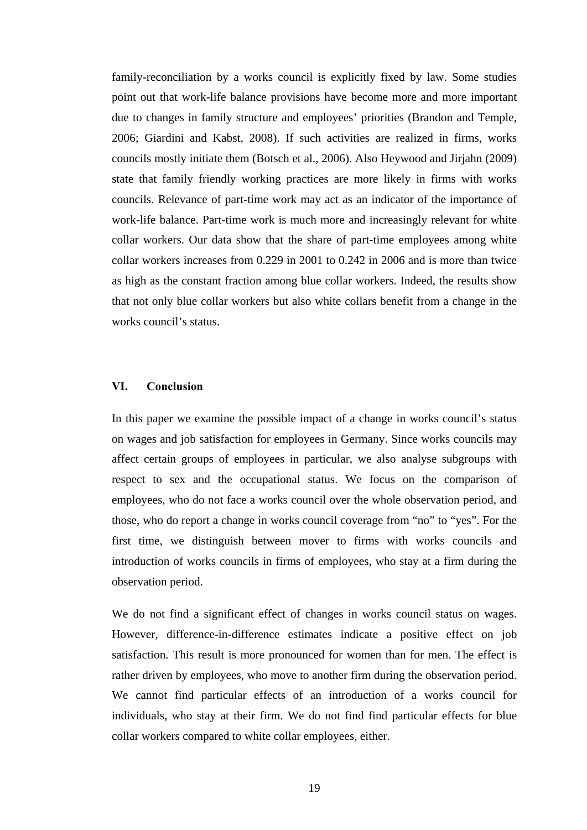family-reconciliation by a works council is explicitly fixed by law. Some studies point out that work-life balance provisions have become more and more important due to changes in family structure and employees' priorities (Brandon and Temple, 2006; Giardini and Kabst, 2008). If such activities are realized in firms, works councils mostly initiate them (Botsch et al., 2006). Also Heywood and Jirjahn (2009) state that family friendly working practices are more likely in firms with works councils. Relevance of part-time work may act as an indicator of the importance of work-life balance. Part-time work is much more and increasingly relevant for white collar workers. Our data show that the share of part-time employees among white collar workers increases from 0.229 in 2001 to 0.242 in 2006 and is more than twice as high as the constant fraction among blue collar workers. Indeed, the results show that not only blue collar workers but also white collars benefit from a change in the works council's status.

#### **VI. Conclusion**

In this paper we examine the possible impact of a change in works council's status on wages and job satisfaction for employees in Germany. Since works councils may affect certain groups of employees in particular, we also analyse subgroups with respect to sex and the occupational status. We focus on the comparison of employees, who do not face a works council over the whole observation period, and those, who do report a change in works council coverage from "no" to "yes". For the first time, we distinguish between mover to firms with works councils and introduction of works councils in firms of employees, who stay at a firm during the observation period.

We do not find a significant effect of changes in works council status on wages. However, difference-in-difference estimates indicate a positive effect on job satisfaction. This result is more pronounced for women than for men. The effect is rather driven by employees, who move to another firm during the observation period. We cannot find particular effects of an introduction of a works council for individuals, who stay at their firm. We do not find find particular effects for blue collar workers compared to white collar employees, either.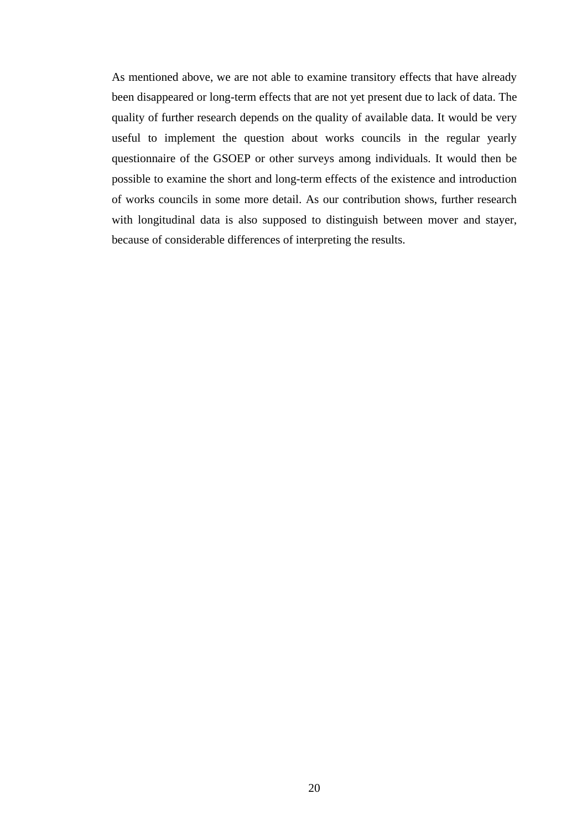As mentioned above, we are not able to examine transitory effects that have already been disappeared or long-term effects that are not yet present due to lack of data. The quality of further research depends on the quality of available data. It would be very useful to implement the question about works councils in the regular yearly questionnaire of the GSOEP or other surveys among individuals. It would then be possible to examine the short and long-term effects of the existence and introduction of works councils in some more detail. As our contribution shows, further research with longitudinal data is also supposed to distinguish between mover and stayer, because of considerable differences of interpreting the results.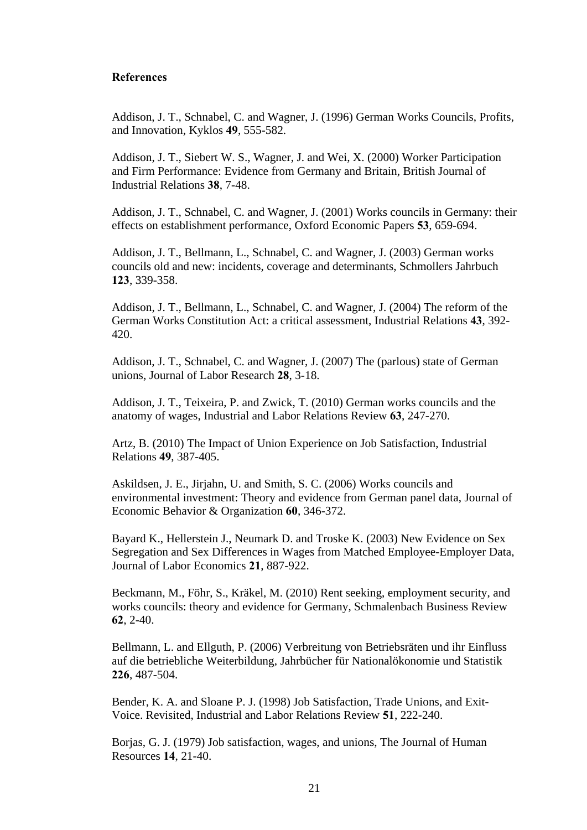#### **References**

Addison, J. T., Schnabel, C. and Wagner, J. (1996) German Works Councils, Profits, and Innovation, Kyklos **49**, 555-582.

Addison, J. T., Siebert W. S., Wagner, J. and Wei, X. (2000) Worker Participation and Firm Performance: Evidence from Germany and Britain, British Journal of Industrial Relations **38**, 7-48.

Addison, J. T., Schnabel, C. and Wagner, J. (2001) Works councils in Germany: their effects on establishment performance, Oxford Economic Papers **53**, 659-694.

Addison, J. T., Bellmann, L., Schnabel, C. and Wagner, J. (2003) German works councils old and new: incidents, coverage and determinants, Schmollers Jahrbuch **123**, 339-358.

Addison, J. T., Bellmann, L., Schnabel, C. and Wagner, J. (2004) The reform of the German Works Constitution Act: a critical assessment, Industrial Relations **43**, 392- 420.

Addison, J. T., Schnabel, C. and Wagner, J. (2007) The (parlous) state of German unions, Journal of Labor Research **28**, 3-18.

Addison, J. T., Teixeira, P. and Zwick, T. (2010) German works councils and the anatomy of wages, Industrial and Labor Relations Review **63**, 247-270.

Artz, B. (2010) The Impact of Union Experience on Job Satisfaction, Industrial Relations **49**, 387-405.

Askildsen, J. E., Jirjahn, U. and Smith, S. C. (2006) Works councils and environmental investment: Theory and evidence from German panel data, Journal of Economic Behavior & Organization **60**, 346-372.

Bayard K., Hellerstein J., Neumark D. and Troske K. (2003) New Evidence on Sex Segregation and Sex Differences in Wages from Matched Employee-Employer Data, Journal of Labor Economics **21**, 887-922.

Beckmann, M., Föhr, S., Kräkel, M. (2010) Rent seeking, employment security, and works councils: theory and evidence for Germany, Schmalenbach Business Review **62**, 2-40.

Bellmann, L. and Ellguth, P. (2006) Verbreitung von Betriebsräten und ihr Einfluss auf die betriebliche Weiterbildung, Jahrbücher für Nationalökonomie und Statistik **226**, 487-504.

Bender, K. A. and Sloane P. J. (1998) Job Satisfaction, Trade Unions, and Exit-Voice. Revisited, Industrial and Labor Relations Review **51**, 222-240.

Borjas, G. J. (1979) Job satisfaction, wages, and unions, The Journal of Human Resources **14**, 21-40.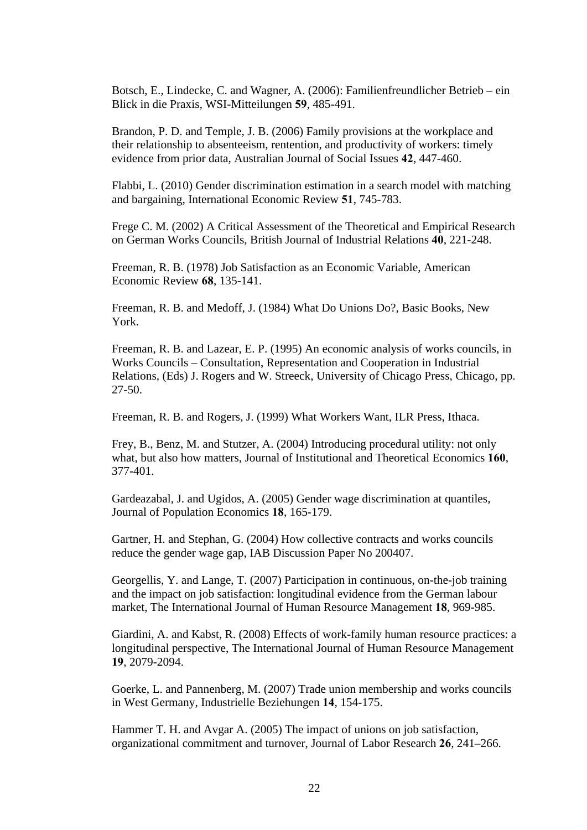Botsch, E., Lindecke, C. and Wagner, A. (2006): Familienfreundlicher Betrieb – ein Blick in die Praxis, WSI-Mitteilungen **59**, 485-491.

Brandon, P. D. and Temple, J. B. (2006) Family provisions at the workplace and their relationship to absenteeism, rentention, and productivity of workers: timely evidence from prior data, Australian Journal of Social Issues **42**, 447-460.

Flabbi, L. (2010) Gender discrimination estimation in a search model with matching and bargaining, International Economic Review **51**, 745-783.

Frege C. M. (2002) A Critical Assessment of the Theoretical and Empirical Research on German Works Councils, British Journal of Industrial Relations **40**, 221-248.

Freeman, R. B. (1978) Job Satisfaction as an Economic Variable, American Economic Review **68**, 135-141.

Freeman, R. B. and Medoff, J. (1984) What Do Unions Do?, Basic Books, New York.

Freeman, R. B. and Lazear, E. P. (1995) An economic analysis of works councils, in Works Councils – Consultation, Representation and Cooperation in Industrial Relations, (Eds) J. Rogers and W. Streeck, University of Chicago Press, Chicago, pp. 27-50.

Freeman, R. B. and Rogers, J. (1999) What Workers Want, ILR Press, Ithaca.

Frey, B., Benz, M. and Stutzer, A. (2004) Introducing procedural utility: not only what, but also how matters, Journal of Institutional and Theoretical Economics **160**, 377-401.

Gardeazabal, J. and Ugidos, A. (2005) Gender wage discrimination at quantiles, Journal of Population Economics **18**, 165-179.

Gartner, H. and Stephan, G. (2004) How collective contracts and works councils reduce the gender wage gap, IAB Discussion Paper No 200407.

Georgellis, Y. and Lange, T. (2007) Participation in continuous, on-the-job training and the impact on job satisfaction: longitudinal evidence from the German labour market, The International Journal of Human Resource Management **18**, 969-985.

Giardini, A. and Kabst, R. (2008) Effects of work-family human resource practices: a longitudinal perspective, The International Journal of Human Resource Management **19**, 2079-2094.

Goerke, L. and Pannenberg, M. (2007) Trade union membership and works councils in West Germany, Industrielle Beziehungen **14**, 154-175.

Hammer T. H. and Avgar A. (2005) The impact of unions on job satisfaction, organizational commitment and turnover, Journal of Labor Research **26**, 241–266.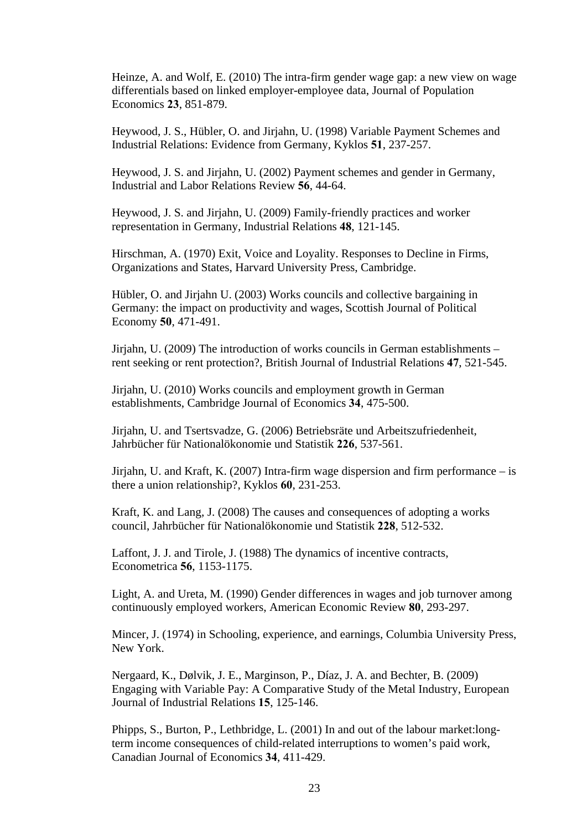Heinze, A. and Wolf, E. (2010) The intra-firm gender wage gap: a new view on wage differentials based on linked employer-employee data, Journal of Population Economics **23**, 851-879.

Heywood, J. S., Hübler, O. and Jirjahn, U. (1998) Variable Payment Schemes and Industrial Relations: Evidence from Germany, Kyklos **51**, 237-257.

Heywood, J. S. and Jirjahn, U. (2002) Payment schemes and gender in Germany, Industrial and Labor Relations Review **56**, 44-64.

Heywood, J. S. and Jirjahn, U. (2009) Family-friendly practices and worker representation in Germany, Industrial Relations **48**, 121-145.

Hirschman, A. (1970) Exit, Voice and Loyality. Responses to Decline in Firms, Organizations and States, Harvard University Press, Cambridge.

Hübler, O. and Jirjahn U. (2003) Works councils and collective bargaining in Germany: the impact on productivity and wages, Scottish Journal of Political Economy **50**, 471-491.

Jirjahn, U. (2009) The introduction of works councils in German establishments – rent seeking or rent protection?, British Journal of Industrial Relations **47**, 521-545.

Jirjahn, U. (2010) Works councils and employment growth in German establishments, Cambridge Journal of Economics **34**, 475-500.

Jirjahn, U. and Tsertsvadze, G. (2006) Betriebsräte und Arbeitszufriedenheit, Jahrbücher für Nationalökonomie und Statistik **226**, 537-561.

Jirjahn, U. and Kraft, K. (2007) Intra-firm wage dispersion and firm performance  $-\text{i}s$ there a union relationship?, Kyklos **60**, 231-253.

Kraft, K. and Lang, J. (2008) The causes and consequences of adopting a works council, Jahrbücher für Nationalökonomie und Statistik **228**, 512-532.

Laffont, J. J. and Tirole, J. (1988) The dynamics of incentive contracts, Econometrica **56**, 1153-1175.

Light, A. and Ureta, M. (1990) Gender differences in wages and job turnover among continuously employed workers, American Economic Review **80**, 293-297.

Mincer, J. (1974) in Schooling, experience, and earnings, Columbia University Press, New York.

Nergaard, K., Dølvik, J. E., Marginson, P., Díaz, J. A. and Bechter, B. (2009) Engaging with Variable Pay: A Comparative Study of the Metal Industry, European Journal of Industrial Relations **15**, 125-146.

Phipps, S., Burton, P., Lethbridge, L. (2001) In and out of the labour market:longterm income consequences of child-related interruptions to women's paid work, Canadian Journal of Economics **34**, 411-429.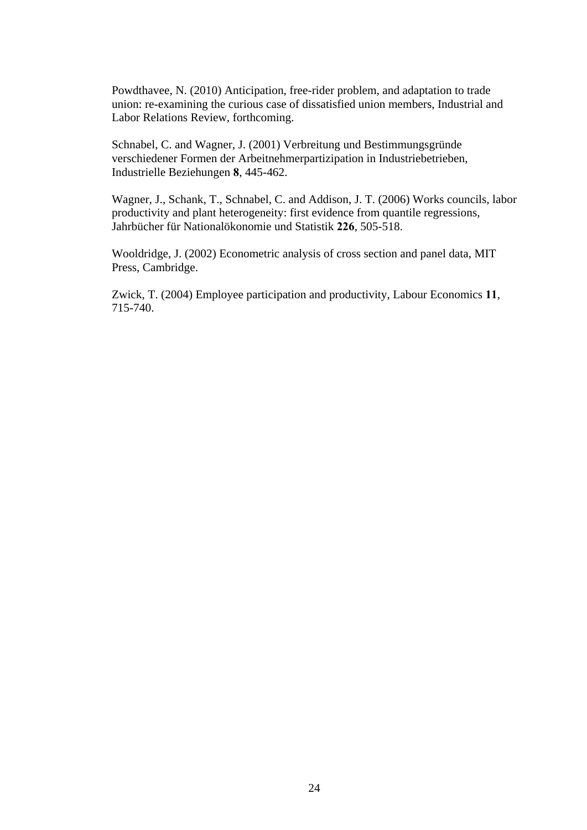Powdthavee, N. (2010) Anticipation, free-rider problem, and adaptation to trade union: re-examining the curious case of dissatisfied union members, Industrial and Labor Relations Review, forthcoming.

Schnabel, C. and Wagner, J. (2001) Verbreitung und Bestimmungsgründe verschiedener Formen der Arbeitnehmerpartizipation in Industriebetrieben, Industrielle Beziehungen **8**, 445-462.

Wagner, J., Schank, T., Schnabel, C. and Addison, J. T. (2006) Works councils, labor productivity and plant heterogeneity: first evidence from quantile regressions, Jahrbücher für Nationalökonomie und Statistik **226**, 505-518.

Wooldridge, J. (2002) Econometric analysis of cross section and panel data, MIT Press, Cambridge.

Zwick, T. (2004) Employee participation and productivity, Labour Economics **11**, 715-740.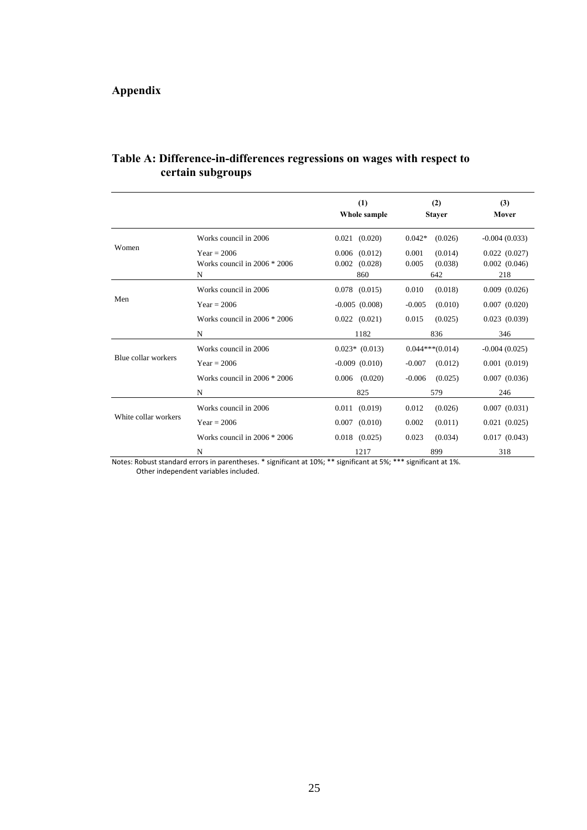## **Appendix**

|                      |                                                      | (1)<br>Whole sample                           | (2)<br><b>Stayer</b>                        | (3)<br>Mover                             |
|----------------------|------------------------------------------------------|-----------------------------------------------|---------------------------------------------|------------------------------------------|
|                      | Works council in 2006                                | $0.021$ $(0.020)$                             | $0.042*$<br>(0.026)                         | $-0.004(0.033)$                          |
| Women                | $Year = 2006$<br>Works council in $2006 * 2006$<br>N | $0.006$ $(0.012)$<br>$0.002$ $(0.028)$<br>860 | 0.001<br>(0.014)<br>0.005<br>(0.038)<br>642 | 0.022(0.027)<br>$0.002$ $(0.046)$<br>218 |
|                      | Works council in 2006                                | $0.078$ $(0.015)$                             | 0.010<br>(0.018)                            | $0.009$ $(0.026)$                        |
| Men                  | $Year = 2006$                                        | $-0.005(0.008)$                               | $-0.005$<br>(0.010)                         | 0.007(0.020)                             |
|                      | Works council in $2006 * 2006$                       | $0.022$ $(0.021)$                             | 0.015<br>(0.025)                            | 0.023(0.039)                             |
|                      | N                                                    | 1182                                          | 836                                         | 346                                      |
|                      | Works council in 2006                                | $0.023*$ (0.013)                              | $0.044***(0.014)$                           | $-0.004(0.025)$                          |
| Blue collar workers  | $Year = 2006$                                        | $-0.009$ $(0.010)$                            | $-0.007$<br>(0.012)                         | 0.001(0.019)                             |
|                      | Works council in $2006 * 2006$                       | $0.006$ $(0.020)$                             | $-0.006$<br>(0.025)                         | $0.007$ $(0.036)$                        |
|                      | N                                                    | 825                                           | 579                                         | 246                                      |
|                      | Works council in 2006                                | $0.011$ $(0.019)$                             | 0.012<br>(0.026)                            | 0.007(0.031)                             |
| White collar workers | $Year = 2006$                                        | $0.007$ $(0.010)$                             | 0.002<br>(0.011)                            | 0.021(0.025)                             |
|                      | Works council in $2006 * 2006$                       | $0.018$ $(0.025)$                             | 0.023<br>(0.034)                            | 0.017(0.043)                             |
|                      | N                                                    | 1217                                          | 899                                         | 318                                      |

### **Table A: Difference-in-differences regressions on wages with respect to certain subgroups**

Notes: Robust standard errors in parentheses. \* significant at 10%; \*\* significant at 5%; \*\*\* significant at 1%.

Other independent variables included.